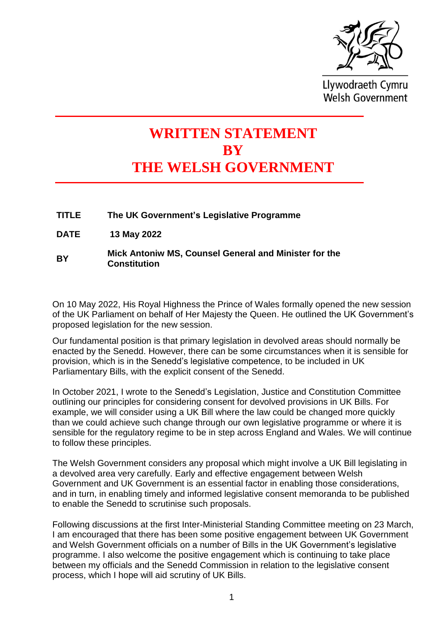

Llywodraeth Cymru **Welsh Government** 

# **WRITTEN STATEMENT BY THE WELSH GOVERNMENT**

**TITLE The UK Government's Legislative Programme**

**DATE 13 May 2022**

#### **BY Mick Antoniw MS, Counsel General and Minister for the Constitution**

On 10 May 2022, His Royal Highness the Prince of Wales formally opened the new session of the UK Parliament on behalf of Her Majesty the Queen. He outlined the UK Government's proposed legislation for the new session.

Our fundamental position is that primary legislation in devolved areas should normally be enacted by the Senedd. However, there can be some circumstances when it is sensible for provision, which is in the Senedd's legislative competence, to be included in UK Parliamentary Bills, with the explicit consent of the Senedd.

In October 2021, I wrote to the Senedd's Legislation, Justice and Constitution Committee outlining our principles for considering consent for devolved provisions in UK Bills. For example, we will consider using a UK Bill where the law could be changed more quickly than we could achieve such change through our own legislative programme or where it is sensible for the regulatory regime to be in step across England and Wales. We will continue to follow these principles.

The Welsh Government considers any proposal which might involve a UK Bill legislating in a devolved area very carefully. Early and effective engagement between Welsh Government and UK Government is an essential factor in enabling those considerations, and in turn, in enabling timely and informed legislative consent memoranda to be published to enable the Senedd to scrutinise such proposals.

Following discussions at the first Inter-Ministerial Standing Committee meeting on 23 March, I am encouraged that there has been some positive engagement between UK Government and Welsh Government officials on a number of Bills in the UK Government's legislative programme. I also welcome the positive engagement which is continuing to take place between my officials and the Senedd Commission in relation to the legislative consent process, which I hope will aid scrutiny of UK Bills.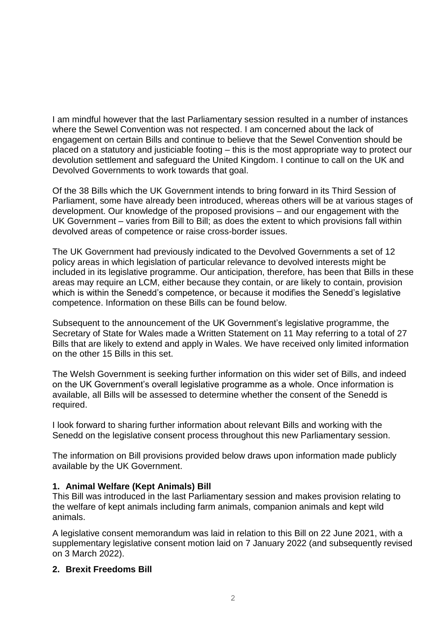I am mindful however that the last Parliamentary session resulted in a number of instances where the Sewel Convention was not respected. I am concerned about the lack of engagement on certain Bills and continue to believe that the Sewel Convention should be placed on a statutory and justiciable footing – this is the most appropriate way to protect our devolution settlement and safeguard the United Kingdom. I continue to call on the UK and Devolved Governments to work towards that goal.

Of the 38 Bills which the UK Government intends to bring forward in its Third Session of Parliament, some have already been introduced, whereas others will be at various stages of development. Our knowledge of the proposed provisions – and our engagement with the UK Government – varies from Bill to Bill; as does the extent to which provisions fall within devolved areas of competence or raise cross-border issues.

The UK Government had previously indicated to the Devolved Governments a set of 12 policy areas in which legislation of particular relevance to devolved interests might be included in its legislative programme. Our anticipation, therefore, has been that Bills in these areas may require an LCM, either because they contain, or are likely to contain, provision which is within the Senedd's competence, or because it modifies the Senedd's legislative competence. Information on these Bills can be found below.

Subsequent to the announcement of the UK Government's legislative programme, the Secretary of State for Wales made a Written Statement on 11 May referring to a total of 27 Bills that are likely to extend and apply in Wales. We have received only limited information on the other 15 Bills in this set.

The Welsh Government is seeking further information on this wider set of Bills, and indeed on the UK Government's overall legislative programme as a whole. Once information is available, all Bills will be assessed to determine whether the consent of the Senedd is required.

I look forward to sharing further information about relevant Bills and working with the Senedd on the legislative consent process throughout this new Parliamentary session.

The information on Bill provisions provided below draws upon information made publicly available by the UK Government.

# **1. Animal Welfare (Kept Animals) Bill**

This Bill was introduced in the last Parliamentary session and makes provision relating to the welfare of kept animals including farm animals, companion animals and kept wild animals.

A legislative consent memorandum was laid in relation to this Bill on 22 June 2021, with a supplementary legislative consent motion laid on 7 January 2022 (and subsequently revised on 3 March 2022).

#### **2. Brexit Freedoms Bill**